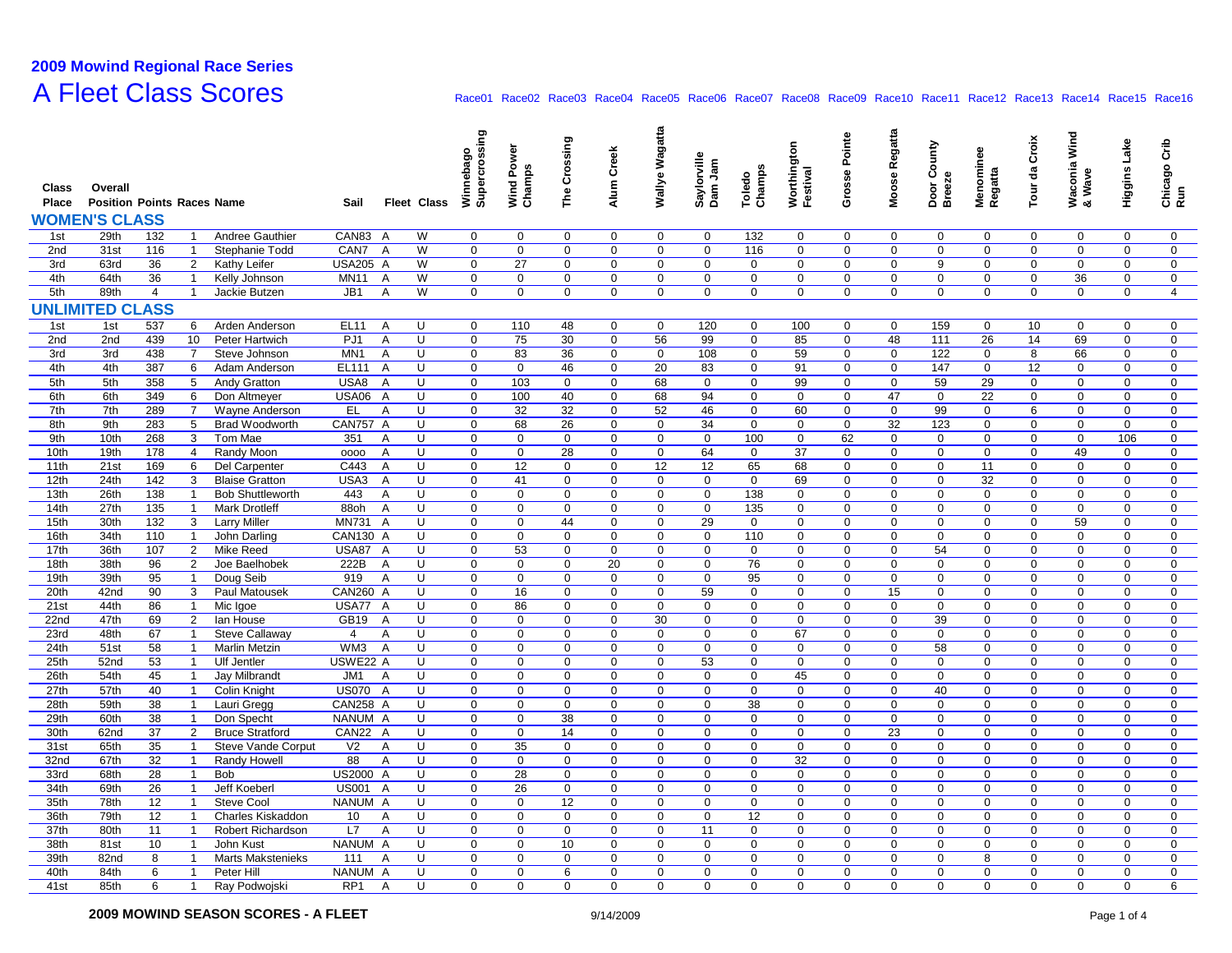## **2009 Mowind Regional Race Series A Fleet Class Scores**

| Class<br>Place | Overall<br><b>Position Points Races Name</b><br><b>WOMEN'S CLASS</b> |                |                     |                                         | Sail               | <b>Fleet Class</b>  | Supercrossing<br>Winnebag  | Wind Power<br>Champs | The Crossing | Alum Creek                 | Wallye Wagatta | Saylorville<br>Dam Jam | Champs<br>Toledo | Worthington<br>Festival | Grosse Pointe    | Moose Regatta          | Door County<br><b>Breeze</b> | Menominee<br>Regatta | Tour da Croix | Waconia Wind<br>& Wave | Higgins Lake               | Chicago Crib<br>Run        |
|----------------|----------------------------------------------------------------------|----------------|---------------------|-----------------------------------------|--------------------|---------------------|----------------------------|----------------------|--------------|----------------------------|----------------|------------------------|------------------|-------------------------|------------------|------------------------|------------------------------|----------------------|---------------|------------------------|----------------------------|----------------------------|
| 1st            | 29th                                                                 | 132            | -1                  | Andree Gauthier                         | CAN83              | W<br>A              | $\mathbf 0$                | 0                    | $\mathbf 0$  | $\mathbf 0$                | $\mathbf 0$    | $\mathbf 0$            | 132              | 0                       | 0                | $\mathbf 0$            | $\mathbf 0$                  | 0                    | 0             | $\mathbf 0$            | $\mathbf 0$                | 0                          |
| 2nd            | 31st                                                                 | 116            | $\mathbf{1}$        | Stephanie Todd                          | CAN7 A             | W                   | $\mathbf 0$                | $\mathbf 0$          | $\mathbf 0$  | $\mathbf 0$                | $\mathbf 0$    | $\mathbf 0$            | 116              | $\Omega$                | $\mathbf 0$      | $\mathbf 0$            | $\mathbf 0$                  | $\mathbf 0$          | $\mathbf 0$   | $\mathbf 0$            | $\mathbf 0$                | $\mathbf 0$                |
| 3rd            | 63rd                                                                 | 36             | 2                   | Kathy Leifer                            | <b>USA205 A</b>    | W                   | $\mathbf 0$                | 27                   | $\mathbf 0$  | $\mathbf 0$                | $\mathbf 0$    | $\mathbf 0$            | $\mathbf 0$      | $\mathbf 0$             | $\mathbf 0$      | $\mathbf 0$            | 9                            | $\mathbf 0$          | $\mathbf 0$   | $\mathbf 0$            | $\mathbf 0$                | $\mathbf 0$                |
| 4th            | 64th                                                                 | 36             | $\mathbf{1}$        | Kelly Johnson                           | <b>MN11</b>        | W<br>$\mathsf{A}$   | $\mathbf 0$                | $\boldsymbol{0}$     | $\mathbf 0$  | $\pmb{0}$                  | $\mathbf 0$    | $\pmb{0}$              | $\mathbf 0$      | $\mathbf 0$             | $\mathbf 0$      | $\boldsymbol{0}$       | 0                            | 0                    | 0             | 36                     | $\mathbf 0$                | $\mathbf 0$                |
| 5th            | 89th                                                                 | $\overline{4}$ | $\mathbf{1}$        | Jackie Butzen                           | JB1                | W<br>A              | 0                          | $\mathbf 0$          | $\mathbf 0$  | $\mathbf 0$                | 0              | $\boldsymbol{0}$       | $\mathbf 0$      | 0                       | 0                | $\boldsymbol{0}$       | 0                            | 0                    | 0             | $\mathbf 0$            | $\mathsf{O}$               | $\overline{4}$             |
| <b>UNLIN</b>   | <b>ED CL</b>                                                         | <b>ASS</b>     |                     |                                         |                    |                     |                            |                      |              |                            |                |                        |                  |                         |                  |                        |                              |                      |               |                        |                            |                            |
|                |                                                                      |                |                     |                                         |                    |                     |                            |                      |              |                            |                |                        |                  |                         |                  |                        |                              |                      |               |                        |                            |                            |
| 1st            | 1st                                                                  | 537            | 6                   | Arden Anderson                          | EL <sub>11</sub>   | A<br>U              | $\mathbf 0$                | 110                  | 48           | $\mathbf 0$                | $\mathbf 0$    | 120                    | $\mathbf 0$      | 100                     | 0                | $\mathbf 0$            | 159                          | $\mathbf 0$          | 10            | $\mathbf 0$            | $\mathbf 0$                | 0                          |
| 2nd            | 2nd                                                                  | 439            | 10                  | Peter Hartwich                          | PJ1                | Α<br>U              | $\mathbf 0$                | 75                   | 30           | $\mathbf 0$                | 56             | 99                     | $\mathbf 0$      | 85                      | $\mathbf 0$      | 48                     | 111                          | 26                   | 14            | 69                     | $\mathbf 0$                | $\mathbf 0$                |
| 3rd            | 3rd                                                                  | 438            | $\overline{7}$      | Steve Johnson                           | MN <sub>1</sub>    | A<br>U              | $\mathbf 0$                | 83                   | 36           | $\mathbf 0$                | $\mathbf 0$    | 108                    | $\mathbf 0$      | 59                      | $\mathbf 0$      | $\mathbf 0$            | 122                          | $\mathbf 0$          | 8             | 66                     | $\mathbf 0$                | $\mathbf 0$                |
| 4th            | 4th                                                                  | 387            | 6                   | Adam Anderson                           | EL111              | U<br>A              | $\mathbf 0$                | $\mathbf 0$          | 46           | $\mathbf 0$                | 20             | 83                     | $\mathbf 0$      | 91                      | $\mathbf 0$      | $\boldsymbol{0}$       | 147                          | 0                    | 12            | 0                      | $\mathbf 0$                | $\mathbf 0$                |
| 5th            | 5th                                                                  | 358            | 5                   | Andy Gratton                            | USA8               | A<br>U              | $\mathsf 0$                | 103                  | $\pmb{0}$    | $\pmb{0}$                  | 68             | $\mathbf 0$            | $\mathsf 0$      | 99                      | $\mathsf 0$      | $\boldsymbol{0}$<br>47 | 59                           | 29<br>22             | 0             | $\mathbf 0$            | $\mathbf 0$                | $\mathsf 0$                |
| 6th<br>7th     | 6th<br>7th                                                           | 349<br>289     | 6<br>$\overline{7}$ | Don Altmeyer                            | <b>USA06</b><br>EL | A<br>U<br>Α<br>U    | $\mathbf 0$<br>$\mathbf 0$ | 100<br>32            | 40<br>32     | $\mathbf 0$<br>$\mathbf 0$ | 68<br>52       | 94<br>46               | $\mathbf 0$<br>0 | $\mathbf 0$<br>60       | $\mathbf 0$<br>0 | $\mathbf 0$            | $\mathbf 0$<br>99            | 0                    | 0<br>6        | $\mathbf 0$<br>0       | $\mathbf 0$<br>$\mathbf 0$ | $\mathbf 0$<br>$\mathbf 0$ |
| 8th            | 9th                                                                  | 283            | 5                   | Wayne Anderson<br><b>Brad Woodworth</b> | CAN757 A           | U                   | $\mathbf 0$                | 68                   | 26           | $\mathbf 0$                | $\mathbf 0$    | 34                     | $\mathbf 0$      | $\mathbf 0$             | $\mathbf 0$      | 32                     | 123                          | $\mathbf 0$          | $\mathbf 0$   | $\mathbf 0$            | $\mathbf 0$                | $\mathbf 0$                |
| 9th            | 10th                                                                 | 268            | 3                   | Tom Mae                                 | 351                | U<br>Α              | $\mathbf 0$                | $\mathbf 0$          | $\mathbf 0$  | $\pmb{0}$                  | $\mathbf 0$    | $\pmb{0}$              | 100              | 0                       | 62               | $\mathbf 0$            | $\mathbf 0$                  | $\mathbf 0$          | $\mathbf 0$   | $\mathbf 0$            | 106                        | $\mathsf{O}\xspace$        |
| 10th           | 19th                                                                 | 178            | 4                   | Randy Moon                              | 0000               | A<br>U              | $\mathbf 0$                | $\mathbf 0$          | 28           | $\mathbf 0$                | $\mathbf 0$    | 64                     | $\mathbf 0$      | 37                      | $\mathbf 0$      | $\mathbf 0$            | 0                            | 0                    | 0             | 49                     | 0                          | $\mathbf 0$                |
| 11th           | 21st                                                                 | 169            | 6                   | Del Carpenter                           | C443               | U<br>A              | $\mathbf 0$                | 12                   | $\mathbf 0$  | $\mathbf 0$                | 12             | 12                     | 65               | 68                      | $\pmb{0}$        | $\mathbf 0$            | $\pmb{0}$                    | 11                   | 0             | 0                      | $\mathsf{O}$               | $\mathbf 0$                |
| 12th           | 24th                                                                 | 142            | 3                   | <b>Blaise Gratton</b>                   | USA3               | Α<br>U              | $\mathbf 0$                | 41                   | $\mathbf 0$  | $\mathbf 0$                | $\mathbf 0$    | $\mathbf 0$            | $\mathbf 0$      | 69                      | 0                | $\mathbf 0$            | 0                            | 32                   | 0             | $\mathbf 0$            | $\mathbf 0$                | 0                          |
| 13th           | 26th                                                                 | 138            | $\mathbf{1}$        | <b>Bob Shuttleworth</b>                 | 443                | U<br>Α              | $\mathbf 0$                | $\mathbf 0$          | $\mathbf 0$  | $\mathbf 0$                | $\mathbf 0$    | $\boldsymbol{0}$       | 138              | $\mathbf 0$             | $\mathbf 0$      | $\mathbf 0$            | $\mathbf 0$                  | $\mathbf 0$          | $\mathbf 0$   | $\mathbf 0$            | $\mathbf 0$                | $\mathbf 0$                |
| 14th           | 27th                                                                 | 135            | $\mathbf{1}$        | <b>Mark Drotleff</b>                    | 88oh               | A<br>U              | $\mathbf 0$                | $\mathbf 0$          | $\mathbf 0$  | $\mathbf 0$                | $\mathbf 0$    | $\mathbf 0$            | 135              | $\mathbf 0$             | $\mathbf 0$      | $\mathbf 0$            | $\mathbf 0$                  | $\mathbf 0$          | $\mathbf 0$   | $\mathbf 0$            | $\mathbf 0$                | $\mathbf 0$                |
| 15th           | 30th                                                                 | 132            | 3                   | <b>Larry Miller</b>                     | <b>MN731</b>       | U<br>$\overline{A}$ | $\mathbf 0$                | $\mathbf 0$          | 44           | $\mathbf 0$                | $\mathbf 0$    | 29                     | $\mathbf 0$      | $\Omega$                | $\boldsymbol{0}$ | $\Omega$               | 0                            | 0                    | $\mathbf 0$   | 59                     | $\mathbf 0$                | $\mathbf 0$                |
| 16th           | 34th                                                                 | 110            | $\mathbf{1}$        | John Darling                            | CAN130 A           | U                   | $\pmb{0}$                  | $\pmb{0}$            | $\pmb{0}$    | $\pmb{0}$                  | $\pmb{0}$      | $\pmb{0}$              | 110              | $\mathbf 0$             | $\bf 0$          | $\boldsymbol{0}$       | $\mathbf 0$                  | 0                    | $\mathbf 0$   | $\mathbf 0$            | $\mathbf 0$                | $\mathsf 0$                |
| 17th           | 36th                                                                 | 107            | 2                   | Mike Reed                               | <b>USA87</b>       | U<br>A              | $\mathbf 0$                | 53                   | $\mathbf 0$  | $\mathbf 0$                | $\mathbf 0$    | $\boldsymbol{0}$       | $\mathbf 0$      | 0                       | $\mathbf 0$      | $\mathbf 0$            | 54                           | 0                    | 0             | $\mathbf 0$            | $\mathbf 0$                | $\mathbf 0$                |
| 18th           | 38th                                                                 | 96             | 2                   | Joe Baelhobek                           | 222B               | U<br>Α              | $\mathbf 0$                | $\mathbf 0$          | $\mathbf 0$  | 20                         | $\mathbf 0$    | $\mathbf 0$            | 76               | 0                       | $\mathbf 0$      | $\mathbf 0$            | $\mathbf 0$                  | 0                    | 0             | 0                      | 0                          | $\mathbf 0$                |
| 19th           | 39th                                                                 | 95             | $\mathbf{1}$        | Doug Seib                               | 919                | U<br>Α              | $\mathbf 0$                | $\mathbf 0$          | $\mathbf 0$  | $\mathbf 0$                | $\mathbf 0$    | $\mathbf 0$            | 95               | $\Omega$                | $\mathbf 0$      | $\mathbf 0$            | $\mathbf 0$                  | $\mathbf 0$          | $\mathbf 0$   | $\mathbf 0$            | $\mathbf{0}$               | $\mathbf 0$                |
| 20th           | 42nd                                                                 | 90             | 3                   | Paul Matousek                           | CAN260 A           | U                   | $\mathbf 0$                | 16                   | $\mathbf 0$  | $\pmb{0}$                  | $\mathbf 0$    | 59                     | $\mathbf 0$      | 0                       | $\mathbf 0$      | 15                     | $\mathbf 0$                  | $\mathbf 0$          | $\mathbf 0$   | $\mathbf 0$            | $\mathbf 0$                | $\mathbf 0$                |
| 21st           | 44th                                                                 | 86             | $\mathbf{1}$        | Mic Igoe                                | USA77 A            | U                   | $\mathbf 0$                | 86                   | $\mathbf 0$  | $\mathbf 0$                | $\mathbf 0$    | $\mathbf 0$            | 0                | 0                       | $\mathbf 0$      | $\mathbf 0$            | 0                            | 0                    | 0             | 0                      | 0                          | $\mathbf 0$                |
| 22nd           | 47th                                                                 | 69             | $\overline{2}$      | lan House                               | GB19               | U<br>$\overline{A}$ | $\mathbf 0$                | $\Omega$             | $\mathbf 0$  | $\mathbf 0$                | 30             | $\Omega$               | $\overline{0}$   | $\mathbf 0$             | $\Omega$         | $\mathbf 0$            | 39                           | $\mathbf 0$          | 0             | $\Omega$               | $\mathsf{O}$               | $\mathbf 0$                |
| 23rd           | 48th                                                                 | 67             | $\overline{1}$      | <b>Steve Callaway</b>                   | 4                  | Α<br>U              | $\mathbf 0$                | $\mathbf 0$          | $\mathbf 0$  | $\mathbf 0$                | $\mathbf 0$    | $\mathbf 0$            | $\mathbf 0$      | 67                      | 0                | $\mathbf 0$            | $\mathbf 0$                  | 0                    | 0             | 0                      | $\mathbf 0$                | 0                          |
| 24th           | 51st                                                                 | 58             | $\mathbf{1}$        | <b>Marlin Metzin</b>                    | WM3                | A<br>U              | $\mathbf 0$                | $\mathbf 0$          | $\mathbf 0$  | $\pmb{0}$                  | $\mathbf 0$    | $\pmb{0}$              | $\mathbf 0$      | $\mathbf 0$             | $\mathbf 0$      | $\mathbf 0$            | 58                           | $\mathbf 0$          | 0             | $\mathbf 0$            | $\mathbf 0$                | $\mathbf 0$                |
| 25th           | 52nd                                                                 | 53             | $\mathbf{1}$        | <b>Ulf Jentler</b>                      | USWE22 A           | U                   | $\mathbf 0$                | $\mathbf 0$          | $\mathbf 0$  | $\mathbf 0$                | $\mathbf 0$    | 53                     | $\mathbf 0$      | $\mathbf 0$             | $\mathbf 0$      | $\mathbf 0$            | $\mathbf 0$                  | $\mathbf 0$          | $\mathbf 0$   | $\mathbf 0$            | $\mathbf 0$                | $\mathbf 0$                |
| 26th           | 54th                                                                 | 45             | $\mathbf{1}$        | Jay Milbrandt                           | JM1                | U<br>Α              | $\mathbf 0$                | $\boldsymbol{0}$     | $\mathbf 0$  | $\mathbf 0$                | $\mathbf 0$    | $\boldsymbol{0}$       | $\mathbf 0$      | 45                      | $\boldsymbol{0}$ | $\Omega$               | 0                            | 0                    | 0             | $\mathbf 0$            | $\mathbf 0$                | $\mathbf 0$                |
| 27th           | 57th                                                                 | 40             | $\overline{1}$      | Colin Knight                            | <b>US070</b>       | $\overline{A}$<br>U | $\mathsf 0$                | $\pmb{0}$            | $\pmb{0}$    | $\pmb{0}$                  | $\mathbf 0$    | $\pmb{0}$              | $\mathsf 0$      | $\mathbf 0$             | $\mathsf 0$      | $\boldsymbol{0}$       | 40                           | 0                    | $\mathbf 0$   | $\mathbf 0$            | $\mathbf 0$                | $\mathsf{O}\xspace$        |
| 28th           | 59th                                                                 | 38             | $\mathbf{1}$        | Lauri Gregg                             | CAN258 A           | U                   | $\mathbf 0$                | $\boldsymbol{0}$     | $\mathbf 0$  | $\mathbf 0$                | $\mathbf 0$    | $\boldsymbol{0}$       | 38               | 0                       | $\mathbf 0$      | $\mathbf 0$            | 0                            | 0                    | 0             | $\mathbf 0$            | $\mathbf 0$                | $\mathbf 0$                |
| 29th           | 60th                                                                 | 38             | $\mathbf{1}$        | Don Specht                              | NANUM A            | U                   | $\mathbf 0$                | $\mathbf 0$          | 38           | $\mathbf 0$                | $\mathbf 0$    | $\mathbf 0$            | 0                | 0                       | $\mathbf 0$      | $\mathbf 0$            | $\mathbf 0$                  | $\mathbf 0$          | $\mathbf 0$   | 0                      | $\mathbf 0$                | $\mathbf 0$                |
| 30th           | 62nd                                                                 | 37             | $\overline{2}$      | <b>Bruce Stratford</b>                  | CAN22 A            | U                   | $\mathbf 0$                | $\mathbf 0$          | 14           | $\mathbf 0$                | $\mathbf 0$    | $\mathbf 0$            | $\mathbf 0$      | $\Omega$                | $\mathbf 0$      | 23                     | $\mathbf 0$                  | $\mathbf 0$          | $\mathbf 0$   | $\mathbf 0$            | $\mathbf{0}$               | $\mathbf 0$                |
| 31st           | 65th                                                                 | 35             | $\mathbf{1}$        | Steve Vande Corput                      | V <sub>2</sub>     | U<br>Α              | $\mathbf 0$                | 35                   | $\mathbf 0$  | $\pmb{0}$                  | $\mathbf 0$    | $\pmb{0}$              | $\boldsymbol{0}$ | 0                       | $\mathsf 0$      | $\mathbf 0$            | $\mathbf 0$                  | $\mathbf 0$          | $\mathbf 0$   | 0                      | $\mathbf 0$                | $\mathsf{O}\xspace$        |
| 32nd           | 67th                                                                 | 32             | $\overline{1}$      | Randy Howell                            | 88                 | Α<br>U              | $\mathbf 0$                | $\mathbf 0$          | $\mathbf 0$  | $\mathbf 0$                | $\mathbf 0$    | $\mathbf 0$            | 0                | 32                      | $\mathbf 0$      | $\boldsymbol{0}$       | 0                            | 0                    | 0             | 0                      | 0                          | $\mathbf 0$                |
| 33rd           | 68th                                                                 | 28             | $\mathbf{1}$        | <b>Bob</b>                              | US2000 A           | U                   | $\mathbf 0$                | 28                   | $\mathbf 0$  | $\mathbf 0$                | $\mathbf 0$    | $\mathbf 0$            | $\mathbf 0$      | $\mathbf 0$             | $\mathbf 0$      | $\mathbf 0$            | 0                            | 0                    | 0             | 0                      | 0                          | $\mathbf 0$                |
| 34th           | 69th                                                                 | 26             | $\overline{1}$      | Jeff Koeberl                            | <b>US001</b>       | U<br>A              | $\mathbf 0$                | 26                   | $\mathsf 0$  | $\mathbf 0$                | $\mathbf 0$    | $\mathbf 0$            | 0                | $\mathbf 0$             | $\mathbf 0$      | $\mathbf 0$            | 0                            | $\mathbf 0$          | 0             | $\mathbf 0$            | 0                          | 0                          |
| 35th           | 78th                                                                 | 12             | $\mathbf{1}$        | <b>Steve Cool</b>                       | <b>NANUM</b>       | U<br>A              | $\mathbf 0$                | $\mathbf 0$          | 12           | $\mathbf 0$                | $\mathbf 0$    | $\boldsymbol{0}$       | $\mathbf 0$      | 0                       | $\mathbf 0$      | $\mathbf 0$            | $\mathbf 0$                  | $\mathbf 0$          | $\mathbf 0$   | $\mathbf 0$            | $\mathbf 0$                | $\mathbf 0$                |
| 36th           | 79th                                                                 | 12             | $\mathbf{1}$        | Charles Kiskaddon                       | 10 <sup>1</sup>    | Α<br>U              | $\mathbf 0$                | $\mathbf 0$          | $\mathbf 0$  | $\mathbf 0$                | $\mathbf 0$    | $\mathbf 0$            | 12               | $\mathbf 0$             | $\mathbf 0$      | $\Omega$               | $\mathbf 0$                  | $\mathbf 0$          | $\mathbf 0$   | $\mathbf 0$            | $\mathbf{0}$               | $\mathbf 0$                |
| 37th           | 80th                                                                 | 11             | $\mathbf{1}$        | Robert Richardson                       | L7                 | U<br>Α              | $\mathbf 0$                | $\mathbf 0$          | $\mathbf 0$  | $\mathbf 0$                | $\mathbf 0$    | 11                     | $\mathbf 0$      | $\Omega$                | $\mathbf 0$      | $\Omega$               | 0                            | 0                    | $\mathbf 0$   | $\mathbf 0$            | $\mathbf 0$                | $\mathbf 0$                |
| 38th           | 81st                                                                 | 10             | $\mathbf{1}$        | John Kust                               | NANUM A            | U                   | $\mathbf 0$                | $\mathbf 0$          | 10           | $\pmb{0}$                  | $\mathbf 0$    | $\mathbf 0$            | $\mathbf 0$      | $\mathbf 0$             | $\boldsymbol{0}$ | $\boldsymbol{0}$       | 0                            | 0                    | 0             | 0                      | $\mathbf 0$                | $\mathsf 0$                |
| 39th           | 82nd                                                                 | 8              | $\mathbf{1}$        | <b>Marts Makstenieks</b>                | 111                | U<br>Α              | $\mathbf 0$                | $\boldsymbol{0}$     | $\mathbf 0$  | $\mathbf 0$                | $\mathbf 0$    | $\boldsymbol{0}$       | $\mathbf 0$      | 0                       | $\mathbf 0$      | $\mathbf 0$            | 0                            | 8                    | 0             | 0                      | 0                          | $\mathbf 0$                |
| 40th           | 84th                                                                 | 6              | $\mathbf{1}$        | Peter Hill                              | NANUM A            | U                   | $\mathbf 0$                | $\mathbf 0$          | 6            | $\mathbf 0$                | $\mathbf 0$    | $\mathbf 0$            | $\mathbf 0$      | $\Omega$                | $\Omega$         | $\Omega$               | $\mathbf 0$                  | $\mathbf 0$          | $\mathbf 0$   | $\Omega$               | $\Omega$                   | $\mathbf 0$                |
| 41st           | 85th                                                                 | 6              | $\mathbf{1}$        | Ray Podwojski                           | RP <sub>1</sub>    | U<br>A              | $\Omega$                   | $\Omega$             | $\Omega$     | $\Omega$                   | $\Omega$       | $\Omega$               | $\Omega$         | $\Omega$                | $\Omega$         | $\Omega$               | $\Omega$                     | $\mathbf 0$          | $\Omega$      | $\Omega$               | $\Omega$                   | 6                          |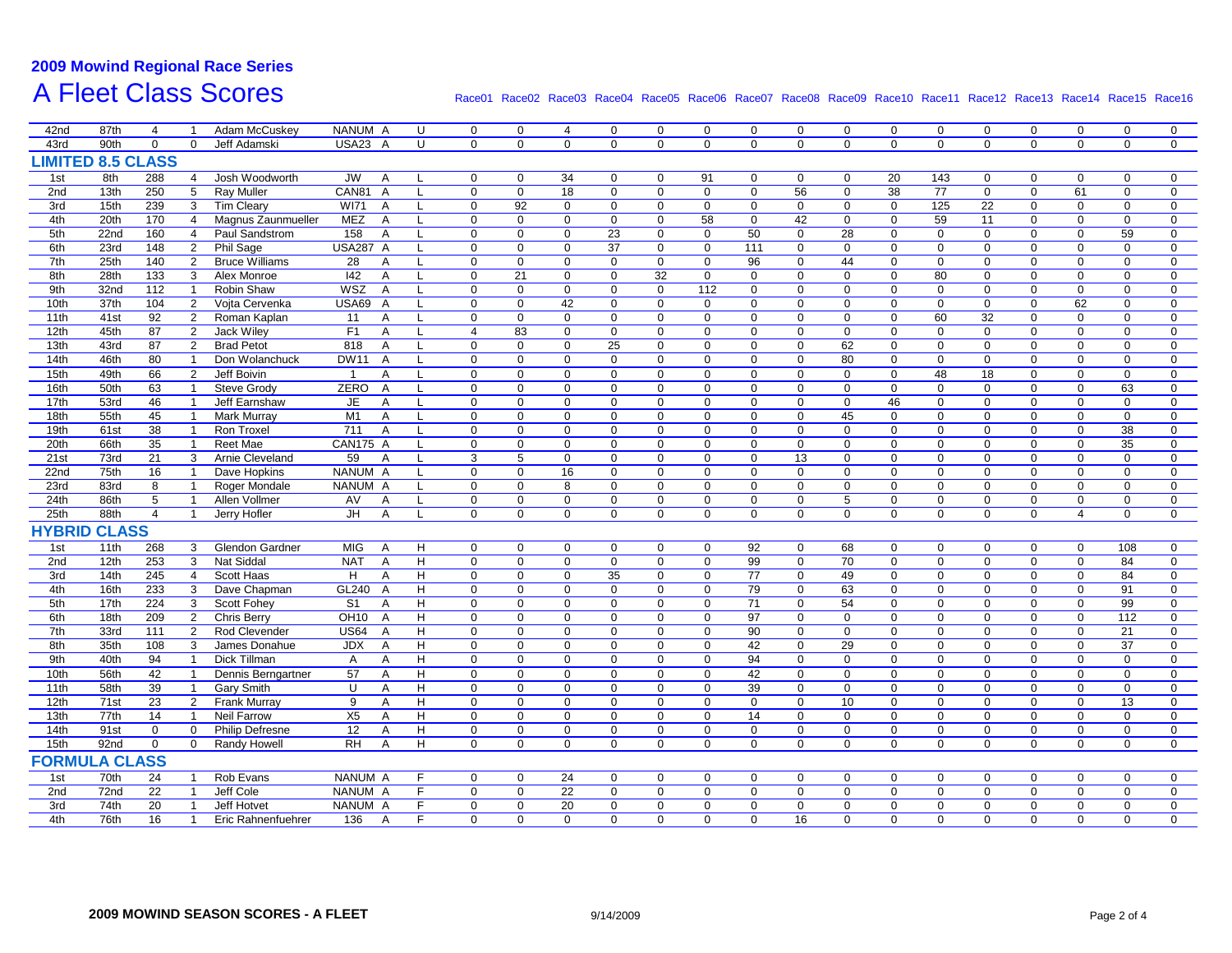## **2009 Mowind Regional Race Series A Fleet Class Scores**

| 42nd                     | 87th             | 4              |                              | Adam McCuskey          | NANUM A            | U                                     | $\mathbf 0$                   | 0                          | $\overline{4}$                | 0                          | 0                          | 0                       | $\mathbf 0$     | $\mathbf 0$                | $\mathbf 0$                   | $\mathbf 0$                | $\mathbf 0$                | 0                       | $\mathbf 0$                | $\mathbf 0$  | 0                          | $\mathbf 0$             |
|--------------------------|------------------|----------------|------------------------------|------------------------|--------------------|---------------------------------------|-------------------------------|----------------------------|-------------------------------|----------------------------|----------------------------|-------------------------|-----------------|----------------------------|-------------------------------|----------------------------|----------------------------|-------------------------|----------------------------|--------------|----------------------------|-------------------------|
| 43rd                     | 90th             | $\mathbf 0$    | $\mathbf 0$                  | Jeff Adamski           | USA23 A            | U                                     | 0                             | $\mathbf 0$                | $\mathbf 0$                   | $\mathbf 0$                | 0                          | 0                       | 0               | $\mathbf 0$                | $\mathbf 0$                   | $\mathbf 0$                | $\mathbf 0$                | $\mathbf 0$             | $\mathbf 0$                | $\mathbf 0$  | $\mathbf 0$                | $\mathbf 0$             |
| <b>LIMITED 8.5 CLASS</b> |                  |                |                              |                        |                    |                                       |                               |                            |                               |                            |                            |                         |                 |                            |                               |                            |                            |                         |                            |              |                            |                         |
| 1st                      | 8th              | 288            | $\overline{4}$               | Josh Woodworth         | <b>JW</b>          | $\overline{A}$                        | $\mathbf 0$                   | $\mathbf 0$                | 34                            | $\mathbf 0$                | $\Omega$                   | 91                      | $\mathbf{0}$    | $\mathbf{0}$               | $\mathbf 0$                   | $\overline{20}$            | 143                        | $\Omega$                | $\Omega$                   | $\mathbf{0}$ | $\Omega$                   | $\mathbf 0$             |
| 2nd                      | 13th             | 250            | $5\phantom{.0}$              | Ray Muller             | CAN81              | $\mathsf{A}$                          | $\mathbf 0$                   | $\mathbf 0$                | 18                            | 0                          | 0                          | $\mathbf 0$             | $\mathbf 0$     | 56                         | $\mathbf 0$                   | 38                         | 77                         | $\mathbf 0$             | $\mathbf 0$                | 61           | $\mathbf 0$                | $\mathbf 0$             |
| 3rd                      | 15th             | 239            | $\mathbf{3}$                 | <b>Tim Cleary</b>      | <b>WI71</b>        | $\mathsf{A}$<br>L                     | $\mathbf 0$                   | 92                         | $\mathbf 0$                   | 0                          | $\mathbf 0$                | $\mathbf 0$             | $\mathbf 0$     | $\mathbf 0$                | $\mathbf 0$                   | $\mathbf 0$                | 125                        | 22                      | $\mathbf 0$                | $\mathbf 0$  | $\mathbf 0$                | $\mathbf 0$             |
| 4th                      | 20th             | 170            | $\overline{4}$               | Magnus Zaunmueller     | MEZ                | $\mathsf{A}$<br>L                     | $\mathbf 0$                   | $\mathbf 0$                | $\mathbf 0$                   | 0                          | $\mathbf 0$                | 58                      | $\mathbf 0$     | 42                         | $\mathbf 0$                   | $\mathbf 0$                | 59                         | 11                      | $\mathbf 0$                | $\mathbf 0$  | $\mathbf 0$                | $\mathbf 0$             |
| 5th                      | 22 <sub>nd</sub> | 160            | $\overline{4}$               | Paul Sandstrom         | 158                | A<br>L                                | $\mathbf 0$                   | $\mathbf 0$                | $\mathbf 0$                   | 23                         | $\mathbf 0$                | $\mathbf 0$             | 50              | $\mathbf 0$                | 28                            | $\mathbf 0$                | $\mathbf 0$                | $\mathbf 0$             | $\mathbf 0$                | $\mathbf 0$  | 59                         | $\mathbf 0$             |
| 6th                      | 23rd             | 148            | $\overline{2}$               | Phil Sage              | <b>USA287 A</b>    | L                                     | $\pmb{0}$                     | $\mathbf 0$                | $\mathbf 0$                   | 37                         | $\mathsf 0$                | $\mathbf 0$             | 111             | $\mathbf 0$                | $\mathsf 0$                   | $\mathbf 0$                | $\mathbf 0$                | $\mathbf 0$             | $\mathbf 0$                | $\mathbf 0$  | $\mathbf 0$                | $\mathbf 0$             |
| 7th                      | 25th             | 140            | $\overline{2}$               | <b>Bruce Williams</b>  | 28                 | $\mathsf{A}$<br>L                     | $\mathbf 0$                   | $\mathbf 0$                | $\mathbf 0$                   | $\mathbf 0$                | $\mathbf 0$                | $\mathbf 0$             | 96              | $\mathbf 0$                | 44                            | $\mathbf 0$                | $\mathbf 0$                | 0                       | $\mathbf 0$                | $\mathbf 0$  | $\mathbf 0$                | $\mathbf 0$             |
| 8th                      | 28th             | 133            | 3                            | Alex Monroe            | 42                 | A                                     | 0                             | 21                         | $\mathbf 0$                   | 0                          | 32                         | $\mathbf 0$             | $\mathbf 0$     | 0                          | $\mathbf 0$                   | $\mathbf 0$                | 80                         | $\mathbf 0$             | $\mathbf 0$                | 0            | $\mathbf 0$                | $\mathbf 0$             |
| 9th                      | 32nd             | 112            | $\mathbf{1}$                 | Robin Shaw             | <b>WSZ</b>         | A                                     | $\mathbf 0$                   | $\mathbf 0$                | $\mathbf 0$                   | $\mathbf 0$                | $\mathbf 0$                | 112                     | $\mathbf 0$     | $\mathbf 0$                | $\mathbf 0$                   | $\mathbf 0$                | $\mathbf 0$                | $\mathbf 0$             | $\mathbf 0$                | $\mathbf 0$  | $\mathbf 0$                | $\mathbf 0$             |
| 10th                     | 37th             | 104            | $\overline{2}$               | Vojta Cervenka         | <b>USA69</b>       | $\overline{A}$                        | $\pmb{0}$                     | $\mathbf 0$                | 42                            | $\mathbf 0$                | 0                          | $\mathbf 0$             | $\mathbf 0$     | $\mathbf 0$                | $\mathbf 0$                   | $\mathbf 0$                | $\mathbf 0$                | $\mathbf 0$             | $\mathbf 0$                | 62           | $\mathbf 0$                | $\mathbf 0$             |
| 11th                     | 41st             | 92             | $\overline{2}$               | Roman Kaplan           | 11                 | Α<br>L                                | 0                             | $\mathbf 0$                | $\mathbf 0$                   | 0                          | $\mathbf 0$                | 0                       | $\mathbf 0$     | $\mathbf 0$                | $\mathbf 0$                   | $\mathbf 0$                | 60                         | 32                      | $\mathbf 0$                | $\mathbf 0$  | 0                          | 0                       |
| 12th                     | 45th             | 87             | $\overline{2}$               | Jack Wiley             | F1                 | A<br>L                                | $\overline{4}$                | 83                         | $\mathsf 0$                   | 0                          | 0                          | $\mathbf 0$             | $\mathbf 0$     | $\mathbf 0$                | $\mathbf 0$                   | $\mathbf 0$                | $\mathbf 0$                | 0                       | $\mathbf 0$                | 0            | $\mathbf 0$                | $\mathbf 0$             |
| 13th                     | 43rd             | 87             | 2                            | <b>Brad Petot</b>      | 818                | A<br>L                                | $\pmb{0}$                     | $\mathbf 0$                | $\mathbf 0$                   | 25                         | 0                          | 0                       | $\mathbf 0$     | $\mathbf 0$                | 62                            | $\mathbf 0$                | $\mathbf 0$                | $\mathbf 0$             | $\mathbf 0$                | $\mathbf 0$  | $\mathbf 0$                | $\mathbf 0$             |
| 14th                     | 46th             | 80             | $\mathbf{1}$                 | Don Wolanchuck         | <b>DW11</b>        | $\overline{A}$<br>L                   | $\mathbf 0$                   | $\Omega$                   | $\mathbf 0$                   | $\mathbf 0$                | $\mathbf 0$                | 0                       | $\mathbf 0$     | $\mathbf 0$                | 80                            | $\mathbf 0$                | $\mathbf 0$                | $\mathbf 0$             | $\mathbf 0$                | $\mathbf 0$  | $\mathbf 0$                | $\mathbf 0$             |
| 15th                     | 49th             | 66             | $\overline{2}$               | Jeff Boivin            |                    | Α                                     | $\pmb{0}$                     | $\Omega$                   | $\overline{0}$                | $\mathbf 0$                | 0                          | $\mathbf 0$             | $\overline{0}$  | 0                          | $\mathbf 0$                   | $\mathbf 0$                | 48                         | 18                      | $\mathsf 0$                | $\mathbf 0$  | $\mathbf 0$                | $\mathbf 0$             |
| 16th                     | 50th             | 63             | $\mathbf{1}$                 | <b>Steve Grody</b>     | <b>ZERO</b>        | $\overline{A}$                        | $\pmb{0}$                     | $\Omega$                   | $\mathbf 0$                   | $\mathbf 0$                | $\mathbf 0$                | 0                       | $\mathbf 0$     | $\mathbf 0$                | $\mathbf 0$                   | $\mathbf 0$                | $\mathbf 0$                | $\mathbf 0$             | $\mathsf 0$                | 0            | 63                         | $\mathbf 0$             |
| 17th                     | 53rd             | 46             | $\mathbf{1}$                 | Jeff Earnshaw          | JE                 | A                                     | 0                             | $\mathbf 0$                | $\mathbf 0$                   | $\mathbf 0$                | 0                          | $\mathbf 0$             | $\mathbf 0$     | $\mathbf 0$                | $\mathbf 0$                   | 46                         | $\mathbf 0$                | $\mathbf 0$             | $\mathbf 0$                | $\mathbf 0$  | $\mathbf 0$                | $\mathbf 0$             |
| 18th                     | 55th             | 45             | $\overline{1}$               | Mark Murray            | M1                 | $\overline{A}$                        | $\mathbf 0$                   | $\Omega$                   | $\mathbf 0$                   | $\mathbf 0$                | $\mathbf 0$                | $\mathbf 0$             | $\mathbf 0$     | $\mathbf 0$                | 45                            | $\mathbf 0$                | $\mathbf 0$                | $\mathbf 0$             | $\mathbf 0$                | $\mathbf 0$  | $\mathbf 0$                | $\Omega$                |
| 19th                     | 61st             | 38             | $\mathbf{1}$                 | Ron Troxel             | 711                | $\overline{A}$<br>$\mathbf{I}$        | $\mathbf 0$                   | $\Omega$                   | $\Omega$                      | $\Omega$                   | $\mathbf 0$                | $\Omega$                | $\mathbf 0$     | $\Omega$                   | $\Omega$                      | $\Omega$                   | $\mathbf 0$                | $\Omega$                | $\mathbf 0$                | $\Omega$     | 38                         | $\Omega$                |
| 20th                     | 66th             | 35             | $\mathbf{1}$                 | Reet Mae               | <b>CAN175 A</b>    |                                       | $\mathbf 0$                   | $\mathbf 0$                | $\mathbf 0$                   | $\mathbf 0$                | $\mathbf 0$                | $\mathbf 0$             | $\mathbf 0$     | $\mathbf 0$                | $\mathbf 0$                   | $\mathbf 0$                | $\mathbf 0$                | $\mathbf 0$             | $\mathbf 0$                | $\pmb{0}$    | 35                         | $\mathbf 0$             |
| 21st                     | 73rd             | 21             | 3                            | Arnie Cleveland        | 59                 | L<br>$\overline{A}$                   | 3                             | 5                          | $\mathbf 0$                   | $\mathbf 0$                | $\mathbf 0$                | $\mathbf 0$             | $\mathbf 0$     | 13                         | $\mathbf 0$                   | $\mathbf 0$                | $\mathbf 0$                | $\mathbf 0$             | $\mathbf 0$                | $\mathbf 0$  | $\mathbf 0$                | $\mathbf 0$             |
| 22nd                     | 75th             | 16             | $\mathbf{1}$                 | Dave Hopkins           | NANUM A            | L.                                    | $\mathbf 0$                   | $\mathbf 0$                | 16                            | $\mathbf 0$                | $\mathbf 0$                | $\mathbf 0$             | $\mathbf 0$     | $\mathbf 0$                | $\mathbf 0$                   | $\mathbf 0$                | $\mathbf 0$                | $\mathbf 0$             | $\mathbf 0$                | $\mathbf 0$  | $\mathbf 0$                | $\mathbf 0$             |
| 23rd                     | 83rd             | 8              | $\mathbf{1}$                 | Roger Mondale          | NANUM A            | $\mathsf{L}$                          | $\mathbf 0$                   | $\mathbf 0$                | 8                             | $\mathbf 0$                | $\mathbf 0$                | $\mathbf 0$             | $\mathbf{0}$    | $\mathbf 0$                | $\mathbf 0$                   | $\mathbf 0$                | $\mathbf 0$                | $\Omega$                | $\mathbf 0$                | $\Omega$     | $\mathbf 0$                | $\Omega$                |
| 24th                     | 86th             | $\sqrt{5}$     | $\mathbf{1}$                 | Allen Vollmer          | AV                 | A<br>L                                | $\mathbf 0$                   | $\mathbf 0$                | $\mathsf 0$                   | $\pmb{0}$                  | $\mathbf 0$                | $\mathbf 0$             | $\mathbf 0$     | $\mathbf 0$                | $5\phantom{.0}$               | $\mathbf 0$                | $\mathsf 0$                | $\mathbf 0$             | $\mathbf 0$                | $\mathbf 0$  | $\mathbf 0$                | $\mathbf 0$             |
| 25th                     | 88th             | $\overline{4}$ | $\overline{1}$               | Jerry Hofler           | JH                 | A<br>L                                | $\mathbf 0$                   | $\mathbf 0$                | $\mathbf 0$                   | $\mathbf 0$                | $\mathbf 0$                | $\mathbf 0$             | $\mathbf 0$     | $\mathbf 0$                | $\mathbf 0$                   | $\mathbf 0$                | $\mathbf 0$                | $\Omega$                | $\mathbf 0$                | 4            | $\mathbf 0$                | $\mathbf 0$             |
| <b>HYBRID CLASS</b>      |                  |                |                              |                        |                    |                                       |                               |                            |                               |                            |                            |                         |                 |                            |                               |                            |                            |                         |                            |              |                            |                         |
|                          |                  |                |                              |                        |                    |                                       |                               |                            |                               |                            |                            |                         |                 |                            |                               |                            |                            |                         |                            |              |                            |                         |
| 1st                      | 11th             | 268            | 3                            | Glendon Gardner        | <b>MIG</b>         | H<br>$\overline{A}$<br>$\overline{H}$ | $\mathbf 0$<br>$\overline{0}$ | $\mathbf 0$<br>$\Omega$    | $\mathbf 0$<br>$\overline{0}$ | $\mathbf 0$                | $\mathbf 0$                | $\mathbf 0$<br>$\Omega$ | 92              | $\mathbf 0$                | 68<br>$\overline{70}$         | $\mathbf 0$<br>$\Omega$    | $\mathbf 0$                | $\mathbf 0$<br>$\Omega$ | $\mathbf 0$                | $\mathbf 0$  | 108                        | $\mathbf 0$<br>$\Omega$ |
| 2nd                      | 12th             | 253            | 3                            | Nat Siddal             | <b>NAT</b>         | $\overline{A}$                        |                               |                            |                               | $\mathbf 0$                | $\mathbf 0$                |                         | 99              | $\mathbf 0$                |                               |                            | $\mathbf 0$                |                         | $\mathbf 0$                | $\mathbf 0$  | 84                         |                         |
| 3rd                      | 14th             | 245            | $\overline{4}$               | Scott Haas             | H                  | н<br>$\mathsf{A}$                     | $\mathbf 0$                   | $\mathbf 0$                | $\mathbf 0$                   | 35                         | $\mathbf 0$                | $\mathbf 0$             | 77              | $\mathbf 0$                | 49                            | $\mathbf 0$                | $\mathbf 0$                | $\mathbf 0$             | $\mathbf 0$                | 0            | 84                         | $\mathbf 0$             |
| 4th                      | 16th             | 233            | 3                            | Dave Chapman           | GL240 A            | H                                     | $\mathbf 0$                   | $\mathbf 0$                | $\mathbf 0$                   | $\mathbf 0$                | $\mathbf 0$                | $\mathbf 0$             | 79              | $\mathbf 0$                | 63                            | $\mathbf 0$                | $\mathbf 0$                | $\mathbf 0$             | $\mathbf 0$                | $\mathbf 0$  | 91                         | $\mathbf 0$             |
| 5th                      | 17th             | 224            | $\mathbf{3}$                 | Scott Fohey            | S <sub>1</sub>     | H<br>$\overline{A}$                   | $\mathbf 0$                   | $\mathbf 0$<br>$\Omega$    | $\mathbf 0$                   | $\mathbf 0$                | $\mathbf 0$                | $\mathbf 0$             | $\overline{71}$ | $\mathbf 0$                | 54                            | $\mathbf 0$                | $\mathbf 0$                | $\mathbf 0$             | $\mathbf 0$                | $\mathbf 0$  | 99                         | $\mathbf 0$             |
| 6th                      | 18th             | 209            | $\overline{2}$               | Chris Berry            | OH <sub>10</sub> A | H                                     | $\mathbf 0$                   |                            | $\mathbf 0$                   | $\mathbf 0$                | $\mathbf 0$                | $\mathbf 0$             | 97              | $\mathbf 0$                | $\mathbf 0$                   | $\Omega$                   | $\mathbf 0$                | $\Omega$                | $\mathbf 0$                | $\Omega$     | 112                        | $\Omega$                |
| 7th                      | 33rd             | 111            | $\overline{2}$               | Rod Clevender          | <b>US64</b>        | $\overline{A}$<br>H                   | $\mathbf 0$                   | $\mathbf 0$                | $\mathbf 0$                   | $\pmb{0}$                  | $\mathbf 0$                | $\mathbf 0$             | 90              | $\mathbf 0$                | $\mathbf 0$                   | $\mathbf 0$                | $\mathbf 0$                | $\mathbf 0$             | $\mathbf 0$                | $\mathbf 0$  | 21                         | $\mathbf 0$             |
| 8th                      | 35th             | 108            | 3                            | James Donahue          | <b>JDX</b>         | H<br>$\overline{A}$                   | $\mathbf 0$                   | $\mathbf 0$                | $\mathbf 0$                   | $\mathbf 0$                | $\mathbf 0$                | $\mathbf 0$             | 42              | $\mathbf 0$                | 29                            | $\mathbf 0$                | $\mathbf 0$                | $\mathbf 0$             | $\mathbf 0$                | $\mathbf 0$  | 37                         | $\mathbf 0$             |
| 9th                      | 40th             | 94             | $\mathbf{1}$                 | Dick Tillman           | $\mathsf{A}$       | H<br>$\mathsf{A}$                     | $\mathbf 0$                   | $\mathbf 0$                | $\mathbf 0$                   | $\mathbf 0$                | $\mathbf 0$                | $\mathbf 0$             | 94              | $\mathbf 0$                | $\mathbf 0$                   | $\mathbf 0$                | $\mathbf 0$                | $\mathbf 0$             | $\mathbf 0$                | $\mathbf 0$  | $\mathbf 0$                | $\mathbf 0$             |
| 10th<br>11th             | 56th<br>58th     | 42<br>39       | $\mathbf{1}$<br>$\mathbf{1}$ | Dennis Berngartner     | 57<br>U            | H<br>$\mathsf{A}$<br>H                | $\mathbf 0$<br>$\overline{0}$ | $\mathbf 0$<br>$\mathbf 0$ | $\mathbf 0$<br>$\mathbf 0$    | $\mathbf 0$<br>$\mathbf 0$ | $\mathbf 0$<br>$\mathbf 0$ | $\mathbf 0$             | 42<br>39        | $\mathbf 0$<br>$\mathbf 0$ | $\mathbf 0$<br>$\overline{0}$ | $\mathbf 0$<br>$\mathbf 0$ | $\mathbf 0$<br>$\mathbf 0$ | $\mathbf 0$             | $\mathbf 0$<br>$\mathbf 0$ | $\mathbf 0$  | $\mathbf 0$<br>$\mathbf 0$ | $\mathbf 0$<br>$\Omega$ |
|                          |                  |                |                              | <b>Garv Smith</b>      |                    | $\overline{A}$                        | $\overline{0}$                |                            |                               |                            |                            | $\mathbf 0$             |                 |                            |                               |                            |                            | $\mathbf 0$             |                            | $\mathbf 0$  |                            |                         |
| 12th                     | 71st             | 23             | 2                            | <b>Frank Murray</b>    | $\overline{9}$     | $\overline{H}$<br>A                   |                               | $\mathbf 0$                | $\mathbf 0$                   | $\mathbf 0$                | $\mathbf 0$                | $\mathbf 0$             | $\mathbf 0$     | $\mathbf 0$                | 10                            | $\mathbf{0}$               | $\mathbf 0$                | $\mathbf 0$             | $\mathbf 0$                | $\mathbf 0$  | 13                         | $\mathbf 0$             |
| 13th                     | 77th             | 14             | $\mathbf{1}$                 | <b>Neil Farrow</b>     | X5                 | H<br>$\mathsf{A}$                     | $\mathbf 0$<br>$\overline{0}$ | $\mathbf 0$                | $\mathbf 0$                   | $\mathbf 0$                | $\mathbf 0$                | $\mathbf 0$             | 14              | $\mathbf 0$                | $\mathbf 0$                   | $\mathbf 0$                | $\mathbf 0$                | 0                       | $\mathbf 0$                | $\mathbf 0$  | $\mathbf 0$                | $\mathbf 0$             |
| 14th<br>15th             | 91st             | $\mathbf 0$    | $\mathbf 0$                  | <b>Philip Defresne</b> | 12<br>RH           | H<br>A                                |                               | $\mathbf 0$                | $\mathbf 0$<br>$\overline{0}$ | $\mathbf 0$                | $\mathbf 0$                | $\mathbf 0$             | $\mathbf 0$     | $\mathbf 0$                | $\mathbf 0$                   | $\mathbf 0$                | $\mathbf 0$                | $\mathbf 0$             | $\mathbf 0$                | $\mathbf 0$  | $\mathbf 0$                | $\mathbf 0$             |
|                          | 92nd             | $\overline{0}$ | $\mathbf 0$                  | <b>Randy Howell</b>    |                    | $\overline{H}$<br>$\overline{A}$      | $\overline{0}$                | $\Omega$                   |                               | $\Omega$                   | $\mathbf 0$                | $\Omega$                | $\mathbf 0$     | $\mathbf 0$                | $\mathbf 0$                   | $\mathbf 0$                | $\mathbf 0$                | $\Omega$                | $\mathbf 0$                | $\Omega$     | $\mathbf 0$                | $\Omega$                |
| <b>FORMULA CLASS</b>     |                  |                |                              |                        |                    |                                       |                               |                            |                               |                            |                            |                         |                 |                            |                               |                            |                            |                         |                            |              |                            |                         |
| 1st                      | 70th             | 24             | $\mathbf{1}$                 | Rob Evans              | NANUM A            | F.                                    | $\mathbf 0$                   | $\mathbf 0$                | 24                            | $\mathbf{0}$               | $\mathbf 0$                | $\mathbf 0$             | $\mathbf 0$     | $\mathbf 0$                | $\mathbf{0}$                  | $\mathbf{0}$               | $\mathbf{0}$               | $\mathbf 0$             | $\mathbf 0$                | $\mathbf{0}$ | $\mathbf 0$                | $\mathbf 0$             |
| 2nd                      | 72nd             | 22             | $\mathbf{1}$                 | Jeff Cole              | NANUM A            | F                                     | $\mathbf 0$                   | $\mathbf 0$                | $\overline{22}$               | $\mathbf 0$                | $\mathbf 0$                | $\mathbf 0$             | $\mathbf 0$     | $\mathbf 0$                | $\mathbf 0$                   | $\mathbf 0$                | $\mathbf 0$                | $\mathbf 0$             | $\mathbf 0$                | $\mathbf 0$  | $\mathbf 0$                | $\mathbf 0$             |
| 3rd                      | 74th             | 20             | $\overline{1}$               | Jeff Hotvet            | NANUM A            | F.                                    | $\Omega$                      | $\Omega$                   | 20                            | $\Omega$                   | $\Omega$                   | $\Omega$                | $\mathbf 0$     | $\Omega$                   | $\Omega$                      | $\Omega$                   | $\mathbf 0$                | $\Omega$                | $\Omega$                   | $\Omega$     | $\Omega$                   | $\Omega$                |
| 4th                      | 76th             | 16             | $\overline{1}$               | Eric Rahnenfuehrer     | 136                | F<br>A                                | $\Omega$                      | $\Omega$                   | $\Omega$                      | $\Omega$                   | $\Omega$                   | $\Omega$                | $\Omega$        | 16                         | $\Omega$                      | $\Omega$                   | $\Omega$                   | $\Omega$                | $\Omega$                   | $\Omega$     | $\Omega$                   | $\Omega$                |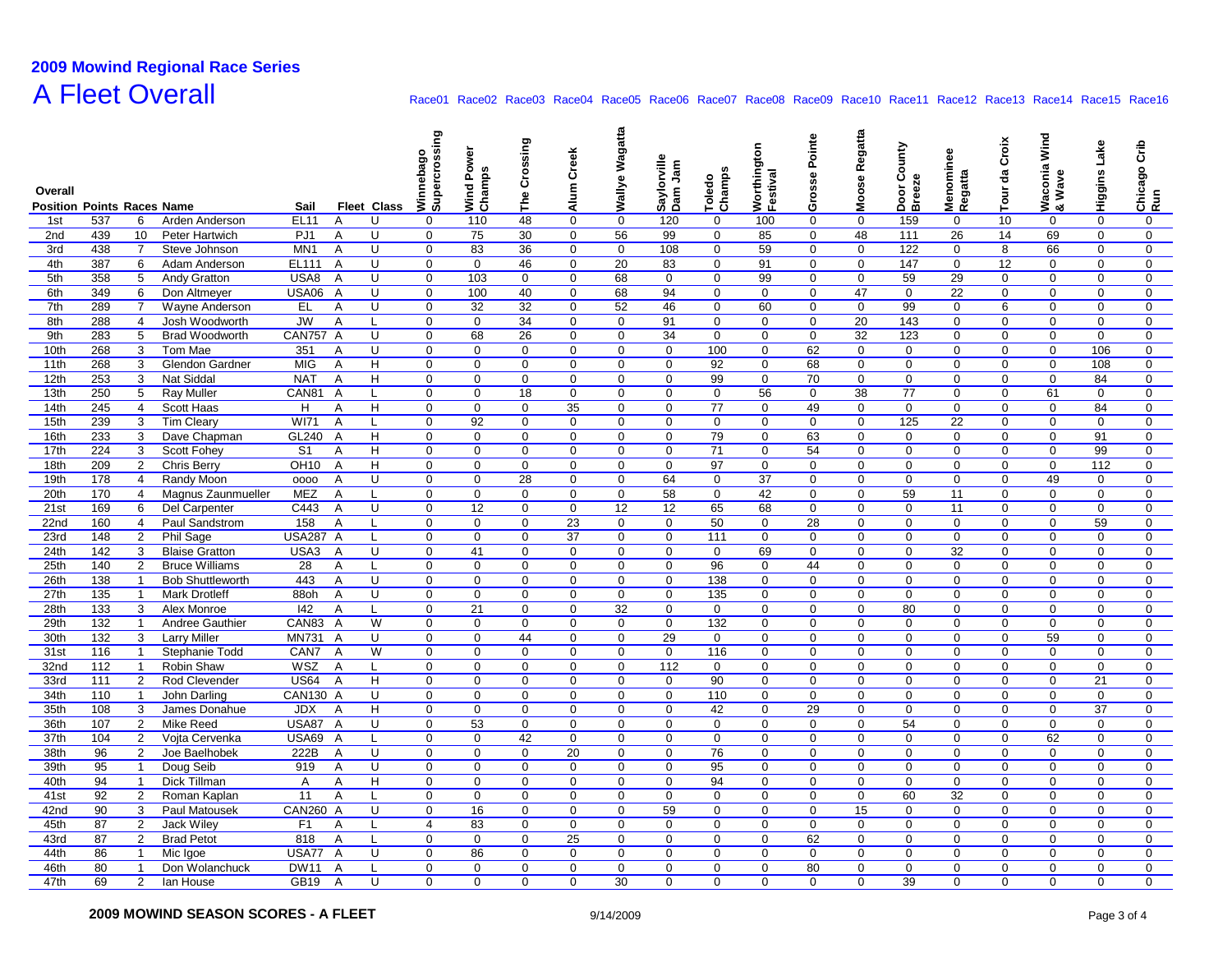# **2009 Mowind Regional Race Series A Fleet Overall**

| Overall                           |            |                      |                                 |                 |                         |                    | sing<br>Winnebag<br>Supercro | Power<br>Wind Pov<br>Champs | Crossing<br>۴è | Creek<br>Alum              | Wagatta<br>Wallye | Saylorville<br>Dam Jam | Toledo<br>Champs | Worthington<br>Festival | Pointe<br>Grosse | Regatta<br>Moose | Door County<br>Breeze | Menominee<br>Regatta | Croix<br>Tour da | Wind<br>/aconia \<br>Wave | Higgins Lake     | Crib<br>Chicago (<br>Run |
|-----------------------------------|------------|----------------------|---------------------------------|-----------------|-------------------------|--------------------|------------------------------|-----------------------------|----------------|----------------------------|-------------------|------------------------|------------------|-------------------------|------------------|------------------|-----------------------|----------------------|------------------|---------------------------|------------------|--------------------------|
| <b>Position Points Races Name</b> |            |                      |                                 | Sail            |                         | <b>Fleet Class</b> |                              |                             |                |                            |                   |                        |                  |                         |                  |                  |                       |                      |                  | ≥∝∝                       |                  |                          |
| 1st<br>2nd                        | 537<br>439 | 6                    | Arden Anderson                  | EL11<br>PJ1     | A<br>A                  | U<br>U             | 0<br>$\mathbf 0$             | 110<br>75                   | 48<br>30       | $\mathbf 0$<br>$\mathbf 0$ | $\mathbf 0$<br>56 | 120<br>99              | 0<br>0           | 100<br>85               | $\mathbf 0$<br>0 | 0<br>48          | 159<br>111            | 0<br>26              | 10<br>14         | 0<br>69                   | 0<br>$\mathbf 0$ | 0<br>$\mathbf 0$         |
| 3rd                               | 438        | 10<br>$\overline{7}$ | Peter Hartwich<br>Steve Johnson | MN <sub>1</sub> | A                       | U                  | $\mathbf 0$                  | 83                          | 36             | $\mathbf 0$                | $\mathbf 0$       | 108                    | $\Omega$         | 59                      | $\Omega$         | $\mathbf 0$      | 122                   | $\mathbf 0$          | 8                | 66                        | $\mathbf 0$      | $\mathbf 0$              |
| 4th                               | 387        | 6                    | Adam Anderson                   | EL111           | $\overline{A}$          | U                  | $\mathbf 0$                  | $\mathbf 0$                 | 46             | $\mathbf 0$                | 20                | 83                     | $\mathbf 0$      | 91                      | $\mathbf 0$      | $\mathbf 0$      | 147                   | $\mathbf 0$          | 12               | $\mathbf 0$               | $\mathbf 0$      | $\mathbf 0$              |
| 5th                               | 358        | 5                    | Andy Gratton                    | USA8            | $\overline{A}$          | U                  | $\mathbf{0}$                 | 103                         | $\mathbf 0$    | $\mathbf 0$                | 68                | $\mathbf{0}$           | $\mathbf 0$      | 99                      | $\mathbf 0$      | $\mathbf 0$      | 59                    | 29                   | $\mathbf 0$      | $\Omega$                  | $\mathbf 0$      | $\mathbf 0$              |
| 6th                               | 349        | 6                    | Don Altmeyer                    | <b>USA06</b>    | A                       | U                  | $\mathbf{0}$                 | 100                         | 40             | $\mathbf 0$                | 68                | 94                     | $\mathbf 0$      | $\mathbf 0$             | $\mathbf 0$      | 47               | $\mathbf 0$           | 22                   | $\mathbf 0$      | $\mathbf 0$               | 0                | $\mathbf 0$              |
| 7th                               | 289        | $\overline{7}$       | Wayne Anderson                  | EL              | Α                       | U                  | $\mathbf 0$                  | 32                          | 32             | $\mathbf 0$                | 52                | 46                     | $\mathbf 0$      | 60                      | $\mathbf 0$      | $\mathbf 0$      | 99                    | 0                    | 6                | $\mathbf 0$               | 0                | 0                        |
| 8th                               | 288        | $\overline{4}$       | Josh Woodworth                  | JW              | A                       | L                  | 0                            | $\mathbf 0$                 | 34             | $\mathbf 0$                | $\mathbf 0$       | 91                     | $\mathbf 0$      | $\mathbf 0$             | 0                | 20               | 143                   | $\mathbf 0$          | 0                | $\mathbf 0$               | $\mathbf 0$      | $\mathbf 0$              |
| 9th                               | 283        | 5                    | <b>Brad Woodworth</b>           | <b>CAN757 A</b> |                         | U                  | $\mathbf 0$                  | 68                          | 26             | $\mathbf 0$                | $\mathbf 0$       | 34                     | $\mathbf 0$      | $\mathbf 0$             | $\mathbf 0$      | 32               | 123                   | $\mathbf 0$          | $\Omega$         | $\mathbf 0$               | $\mathbf 0$      | $\mathbf 0$              |
| 10th                              | 268        | 3                    | Tom Mae                         | 351             | A                       | U                  | $\mathbf 0$                  | $\Omega$                    | $\mathbf 0$    | $\mathbf 0$                | $\mathbf 0$       | $\mathbf 0$            | 100              | $\mathbf 0$             | 62               | $\mathbf 0$      | $\mathbf 0$           | $\mathbf 0$          | $\mathbf 0$      | $\mathbf 0$               | 106              | $\mathbf 0$              |
| 11th                              | 268        | 3                    | Glendon Gardner                 | <b>MIG</b>      | A                       | H                  | $\mathbf 0$                  | $\mathbf 0$                 | $\mathbf 0$    | $\mathbf 0$                | $\mathbf 0$       | $\mathbf 0$            | 92               | $\mathbf 0$             | 68               | $\mathbf 0$      | $\mathbf 0$           | $\mathbf 0$          | $\mathbf 0$      | $\mathbf 0$               | 108              | $\mathbf 0$              |
| 12th                              | 253        | 3                    | <b>Nat Siddal</b>               | <b>NAT</b>      | $\overline{\mathsf{A}}$ | H                  | $\mathbf 0$                  | $\mathbf 0$                 | $\mathbf 0$    | $\mathbf 0$                | $\mathbf 0$       | $\mathbf{0}$           | 99               | $\mathbf 0$             | 70               | $\mathbf 0$      | $\mathbf 0$           | $\pmb{0}$            | $\mathbf 0$      | $\mathbf 0$               | 84               | $\mathbf 0$              |
| 13th                              | 250        | 5                    | <b>Ray Muller</b>               | CAN81           | A                       | L                  | $\mathbf 0$                  | $\mathbf 0$                 | 18             | $\mathbf 0$                | $\mathbf 0$       | $\mathbf 0$            | $\mathbf 0$      | 56                      | $\mathbf 0$      | 38               | 77                    | $\mathbf 0$          | 0                | 61                        | $\mathbf 0$      | 0                        |
| 14th                              | 245        | $\overline{4}$       | <b>Scott Haas</b>               | H               | A                       | H                  | $\mathbf 0$                  | $\mathbf 0$                 | $\mathbf 0$    | 35                         | $\mathbf 0$       | $\mathbf 0$            | 77               | $\mathbf 0$             | 49               | $\mathbf 0$      | $\mathbf 0$           | $\mathbf 0$          | 0                | $\mathbf 0$               | 84               | $\mathbf 0$              |
| 15th                              | 239        | 3                    | <b>Tim Cleary</b>               | WI71            | $\overline{A}$          | L                  | $\mathbf 0$                  | 92                          | $\mathbf 0$    | $\mathbf 0$                | $\mathbf 0$       | $\mathbf 0$            | $\mathbf 0$      | $\mathbf 0$             | $\Omega$         | $\mathbf 0$      | 125                   | 22                   | $\mathbf 0$      | $\mathbf 0$               | $\mathbf 0$      | $\mathbf 0$              |
| 16th                              | 233        | 3                    | Dave Chapman                    | GL240           | $\overline{A}$          | H                  | $\mathbf 0$                  | $\mathbf 0$                 | $\mathbf 0$    | $\mathbf 0$                | $\mathbf 0$       | $\mathbf 0$            | 79               | $\mathbf 0$             | 63               | $\mathbf 0$      | $\mathbf 0$           | $\mathbf 0$          | $\mathbf 0$      | $\mathbf 0$               | 91               | $\mathbf 0$              |
| 17th                              | 224        | 3                    | <b>Scott Fohey</b>              | S <sub>1</sub>  | A                       | H                  | $\mathbf 0$                  | $\mathbf 0$                 | $\mathbf 0$    | $\mathbf 0$                | $\mathbf 0$       | $\mathbf{0}$           | 71               | $\mathbf 0$             | 54               | $\mathbf 0$      | $\mathbf 0$           | $\mathbf 0$          | $\mathbf 0$      | $\mathbf 0$               | 99               | $\mathbf 0$              |
| 18th                              | 209        | $\overline{2}$       | Chris Berry                     | <b>OH10</b>     | $\overline{A}$          | H                  | $\mathbf 0$                  | $\mathbf 0$                 | $\mathbf 0$    | $\mathbf 0$                | $\mathbf 0$       | $\mathbf 0$            | 97               | $\mathbf 0$             | $\mathbf 0$      | $\mathbf 0$      | $\mathbf 0$           | $\mathbf 0$          | $\mathbf 0$      | $\mathbf 0$               | 112              | $\mathbf 0$              |
| 19th                              | 178        | $\overline{4}$       | Randy Moon                      | 0000            | Α                       | U                  | $\mathbf 0$                  | $\mathbf 0$                 | 28             | $\mathbf 0$                | $\mathbf 0$       | 64                     | $\mathbf 0$      | 37                      | $\mathbf 0$      | $\mathbf 0$      | $\mathbf 0$           | $\mathbf 0$          | $\mathbf 0$      | 49                        | 0                | $\mathbf 0$              |
| 20th                              | 170        | 4                    | Magnus Zaunmueller              | <b>MEZ</b>      | A                       | L                  | 0                            | $\mathbf 0$                 | 0              | $\mathbf 0$                | 0                 | 58                     | 0                | 42                      | 0                | $\mathbf 0$      | 59                    | 11                   | 0                | $\mathbf 0$               | 0                | $\mathbf 0$              |
| 21st                              | 169        | 6                    | <b>Del Carpenter</b>            | C443            | $\overline{A}$          | U                  | $\mathbf 0$                  | 12                          | $\mathbf 0$    | $\mathbf 0$                | 12                | 12                     | 65               | 68                      | $\mathbf 0$      | $\mathbf 0$      | $\mathbf 0$           | 11                   | $\mathbf 0$      | $\mathbf 0$               | $\mathbf 0$      | $\mathbf 0$              |
| 22nd                              | 160        | $\overline{4}$       | Paul Sandstrom                  | 158             | $\overline{A}$          | L                  | $\Omega$                     | $\Omega$                    | $\mathbf 0$    | 23                         | $\mathbf 0$       | $\mathbf 0$            | 50               | $\mathbf 0$             | 28               | $\mathbf 0$      | $\mathbf 0$           | $\mathbf 0$          | $\mathbf 0$      | $\Omega$                  | 59               | $\mathbf 0$              |
| 23rd                              | 148        | $\overline{2}$       | Phil Sage                       | <b>USA287 A</b> |                         | L                  | $\mathbf 0$                  | $\mathbf 0$                 | $\mathbf 0$    | 37                         | $\mathbf 0$       | $\mathbf 0$            | 111              | $\mathbf 0$             | 0                | 0                | $\mathbf 0$           | $\mathbf 0$          | $\mathbf 0$      | $\mathbf 0$               | 0                | 0                        |
| 24th                              | 142        | 3                    | <b>Blaise Gratton</b>           | USA3            | $\overline{\mathsf{A}}$ | U                  | $\mathbf 0$                  | 41                          | $\mathbf 0$    | $\mathbf 0$                | $\mathbf 0$       | $\mathbf{0}$           | $\mathbf 0$      | 69                      | $\mathbf 0$      | $\mathbf 0$      | $\mathbf 0$           | 32                   | $\mathbf 0$      | $\mathbf 0$               | $\mathbf 0$      | $\mathbf 0$              |
| 25th                              | 140        | $\overline{2}$       | <b>Bruce Williams</b>           | 28              | Α                       | L                  | $\mathbf 0$                  | $\mathbf 0$                 | $\mathbf 0$    | $\mathbf 0$                | $\mathbf 0$       | $\mathbf 0$            | 96               | $\mathbf 0$             | 44               | $\mathbf 0$      | $\mathbf 0$           | $\mathbf 0$          | $\mathbf 0$      | $\mathbf 0$               | $\mathbf 0$      | $\mathbf 0$              |
| 26th                              | 138        | -1                   | <b>Bob Shuttleworth</b>         | 443             | A                       | U                  | $\mathbf 0$                  | $\mathbf 0$                 | $\mathbf 0$    | $\mathbf 0$                | 0                 | 0                      | 138              | $\mathbf 0$             | $\mathbf 0$      | $\mathbf 0$      | 0                     | $\mathbf 0$          | 0                | $\mathbf 0$               | $\mathbf 0$      | $\mathbf 0$              |
| 27th                              | 135        | $\overline{1}$       | <b>Mark Drotleff</b>            | 88oh            | $\overline{A}$          | U                  | $\mathbf 0$                  | $\mathbf 0$                 | $\mathbf 0$    | $\mathbf 0$                | $\mathbf 0$       | $\mathbf{0}$           | 135              | $\mathbf 0$             | $\Omega$         | $\mathbf 0$      | $\mathbf 0$           | $\mathbf 0$          | $\mathbf 0$      | $\mathbf 0$               | $\mathbf 0$      | $\mathbf 0$              |
| 28th                              | 133        | 3                    | Alex Monroe                     | 142             | $\overline{A}$          | $\mathsf{L}$       | $\mathbf 0$                  | 21                          | $\mathbf 0$    | $\mathbf 0$                | 32                | $\mathbf 0$            | $\mathbf 0$      | $\mathbf 0$             | $\mathbf 0$      | $\mathbf 0$      | 80                    | $\mathbf 0$          | $\mathbf 0$      | $\mathbf 0$               | $\mathbf 0$      | $\mathbf 0$              |
| 29th                              | 132        | $\overline{1}$       | Andree Gauthier                 | CAN83           | $\overline{A}$          | W                  | $\mathbf 0$                  | $\mathbf 0$                 | $\mathbf 0$    | $\mathbf 0$                | $\mathbf 0$       | $\mathbf 0$            | 132              | $\mathbf 0$             | $\mathbf 0$      | $\mathbf 0$      | $\mathbf 0$           | $\mathbf 0$          | $\mathbf 0$      | $\mathbf 0$               | $\mathbf 0$      | $\mathbf 0$              |
| 30th                              | $132$      | 3                    | <b>Larry Miller</b>             | <b>MN731</b>    | $\overline{A}$          | U                  | $\mathbf 0$                  | $\mathbf 0$                 | 44             | $\mathbf 0$                | $\mathbf 0$       | 29                     | $\mathbf 0$      | $\mathbf 0$             | $\mathbf 0$      | $\mathbf 0$      | $\mathbf 0$           | $\mathbf 0$          | $\mathbf 0$      | 59                        | 0                | $\mathbf 0$              |
| 31st                              | 116        | $\overline{1}$       | Stephanie Todd                  | CAN7            | A                       | W                  | 0                            | $\mathbf 0$                 | $\mathbf 0$    | $\mathbf 0$                | 0                 | 0                      | 116              | 0                       | 0                | $\mathbf 0$      | $\mathbf 0$           | $\mathbf 0$          | 0                | $\mathbf 0$               | 0                | $\mathbf 0$              |
| 32nd                              | 112        | $\overline{1}$       | Robin Shaw                      | WSZ             | A                       | L                  | 0                            | $\mathbf 0$                 | $\mathbf 0$    | $\mathbf 0$                | $\mathbf 0$       | 112                    | 0                | $\mathbf 0$             | 0                | $\mathbf 0$      | 0                     | $\mathbf 0$          | 0                | $\mathbf 0$               | $\mathbf 0$      | 0                        |
| 33rd                              | 111        | $\overline{2}$       | Rod Clevender                   | <b>US64</b>     | $\overline{A}$          | H                  | $\mathbf 0$                  | $\mathbf 0$                 | $\mathbf 0$    | $\mathbf 0$                | $\mathbf 0$       | $\mathbf 0$            | 90               | $\mathbf 0$             | $\mathbf 0$      | $\mathbf 0$      | $\mathbf 0$           | $\mathbf 0$          | $\mathbf 0$      | $\mathbf 0$               | 21               | $\mathbf 0$              |
| 34th                              | 110        | $\overline{1}$       | John Darling                    | CAN130 A        |                         | U                  | $\mathbf 0$                  | $\mathbf 0$                 | $\mathbf 0$    | $\mathbf 0$                | $\mathbf 0$       | $\mathbf 0$            | 110              | $\mathbf 0$             | 0                | $\mathbf 0$      | $\mathbf 0$           | $\mathbf 0$          | $\mathbf 0$      | $\mathbf 0$               | $\mathbf 0$      | $\mathbf 0$              |
| 35th                              | 108        | 3                    | James Donahue                   | <b>JDX</b>      | $\overline{A}$          | H                  | $\mathbf{0}$                 | $\mathbf 0$                 | $\mathbf 0$    | $\mathbf 0$                | $\mathbf{0}$      | $\mathbf 0$            | 42               | $\mathbf 0$             | 29               | 0                | $\mathbf 0$           | $\mathbf 0$          | $\mathbf 0$      | $\mathbf 0$               | 37               | $\mathbf 0$              |
| 36th                              | 107        | $\overline{2}$       | Mike Reed                       | <b>USA87</b>    | $\overline{A}$          | U                  | $\mathbf 0$                  | 53                          | $\mathbf 0$    | $\mathbf 0$                | 0                 | $\mathbf 0$            | $\mathbf 0$      | $\mathbf 0$             | $\mathbf 0$      | $\mathbf 0$      | 54                    | $\pmb{0}$            | $\mathbf 0$      | $\mathbf 0$               | 0                | $\mathbf 0$              |
| 37th                              | 104        | 2                    | Vojta Cervenka                  | <b>USA69</b>    | $\overline{A}$          | L                  | $\mathbf 0$                  | $\mathbf 0$                 | 42             | $\mathbf 0$                | $\mathbf 0$       | $\mathbf 0$            | $\mathbf 0$      | 0                       | $\mathbf 0$      | $\mathbf 0$      | $\mathbf 0$           | $\mathbf 0$          | $\mathbf 0$      | 62                        | $\mathbf 0$      | 0                        |
| 38th                              | 96         | 2                    | Joe Baelhobek                   | 222B            | A                       | U                  | $\mathbf 0$                  | $\mathbf 0$                 | $\mathbf 0$    | 20                         | $\mathbf 0$       | $\mathbf 0$            | 76               | $\mathbf 0$             | $\mathbf 0$      | $\mathbf 0$      | $\mathbf 0$           | $\mathbf 0$          | 0                | $\mathbf 0$               | $\mathbf 0$      | $\mathbf 0$              |
| 39th                              | 95         | $\overline{1}$       | Doug Seib                       | 919             | $\overline{A}$          | U                  | $\mathbf 0$                  | $\Omega$                    | $\mathbf 0$    | $\mathbf 0$                | $\mathbf 0$       | $\mathbf 0$            | 95               | $\mathbf 0$             | $\Omega$         | $\mathbf 0$      | $\mathbf 0$           | $\mathbf 0$          | $\mathbf 0$      | $\mathbf 0$               | $\mathbf 0$      | $\mathbf 0$              |
| 40th                              | 94         | $\overline{1}$       | Dick Tillman                    | Α               | A                       | H                  | $\mathbf 0$                  | $\mathbf 0$                 | $\mathbf 0$    | $\mathbf 0$                | $\mathbf 0$       | $\mathbf 0$            | 94               | $\mathbf 0$             | $\mathbf 0$      | $\mathbf 0$      | $\mathbf 0$           | $\mathbf 0$          | $\mathbf 0$      | $\mathbf 0$               | $\mathbf 0$      | $\mathbf 0$              |
| 41st                              | 92         | $\overline{2}$       | Roman Kaplan                    | 11              | A                       | L                  | $\mathbf{0}$                 | $\mathbf 0$                 | $\mathbf 0$    | $\mathbf 0$                | $\mathbf 0$       | $\mathbf{0}$           | $\mathbf 0$      | $\mathbf 0$             | $\mathbf 0$      | $\mathbf 0$      | 60                    | 32                   | $\mathbf 0$      | $\mathbf 0$               | $\mathbf 0$      | $\mathbf 0$              |
| 42nd                              | 90         | 3                    | Paul Matousek                   | <b>CAN260 A</b> |                         | U                  | $\mathbf 0$                  | 16                          | $\mathbf 0$    | $\mathbf 0$                | $\mathbf 0$       | 59                     | 0                | $\mathbf 0$             | $\mathbf 0$      | 15               | $\mathbf 0$           | $\mathbf 0$          | $\mathbf 0$      | $\mathbf 0$               | 0                | $\mathbf 0$              |
| 45th                              | 87         | $\overline{2}$       | Jack Wiley                      | F <sub>1</sub>  | Α                       | L                  | $\overline{4}$               | 83                          | $\mathbf 0$    | $\mathbf 0$                | 0                 | $\mathbf 0$            | $\mathbf 0$      | $\mathbf 0$             | 0                | $\mathbf 0$      | $\mathbf 0$           | $\mathbf 0$          | 0                | $\mathbf 0$               | 0                | $\mathbf 0$              |
| 43rd                              | 87         | $\overline{2}$       | <b>Brad Petot</b>               | 818             | A                       | L                  | 0                            | $\mathbf 0$                 | $\mathbf 0$    | 25                         | $\mathbf 0$       | 0                      | 0                | $\mathbf 0$             | 62               | $\mathbf 0$      | $\mathbf 0$           | $\mathbf 0$          | 0                | $\mathbf 0$               | $\mathbf 0$      | $\mathbf 0$              |
| 44th                              | 86         | $\overline{1}$       | Mic Igoe                        | USA77           | A                       | U                  | $\mathbf 0$                  | 86                          | $\mathbf 0$    | $\mathbf 0$                | $\mathbf 0$       | $\mathbf 0$            | $\mathbf 0$      | $\mathbf 0$             | $\mathbf 0$      | $\mathbf 0$      | $\mathbf 0$           | $\mathbf 0$          | $\mathbf 0$      | $\mathbf 0$               | 0                | $\mathbf 0$              |
| 46th                              | 80         | $\overline{1}$       | Don Wolanchuck                  | <b>DW11</b>     | A                       | $\mathsf{L}$       | $\mathbf 0$                  | $\Omega$                    | $\mathbf 0$    | $\mathbf 0$                | $\mathbf 0$       | $\mathbf 0$            | $\mathbf 0$      | $\mathbf 0$             | 80               | $\mathbf 0$      | $\mathbf 0$           | $\Omega$             | $\mathbf 0$      | $\Omega$                  | $\mathbf 0$      | $\mathbf 0$              |
| 47th                              | 69         | $\overline{2}$       | lan House                       | <b>GB19</b>     | A                       | $\cup$             | $\Omega$                     | $\Omega$                    | $\Omega$       | $\Omega$                   | 30                | $\Omega$               | $\Omega$         | $\Omega$                | $\Omega$         | $\Omega$         | 39                    | $\Omega$             | $\Omega$         | $\Omega$                  | $\mathbf 0$      | $\Omega$                 |